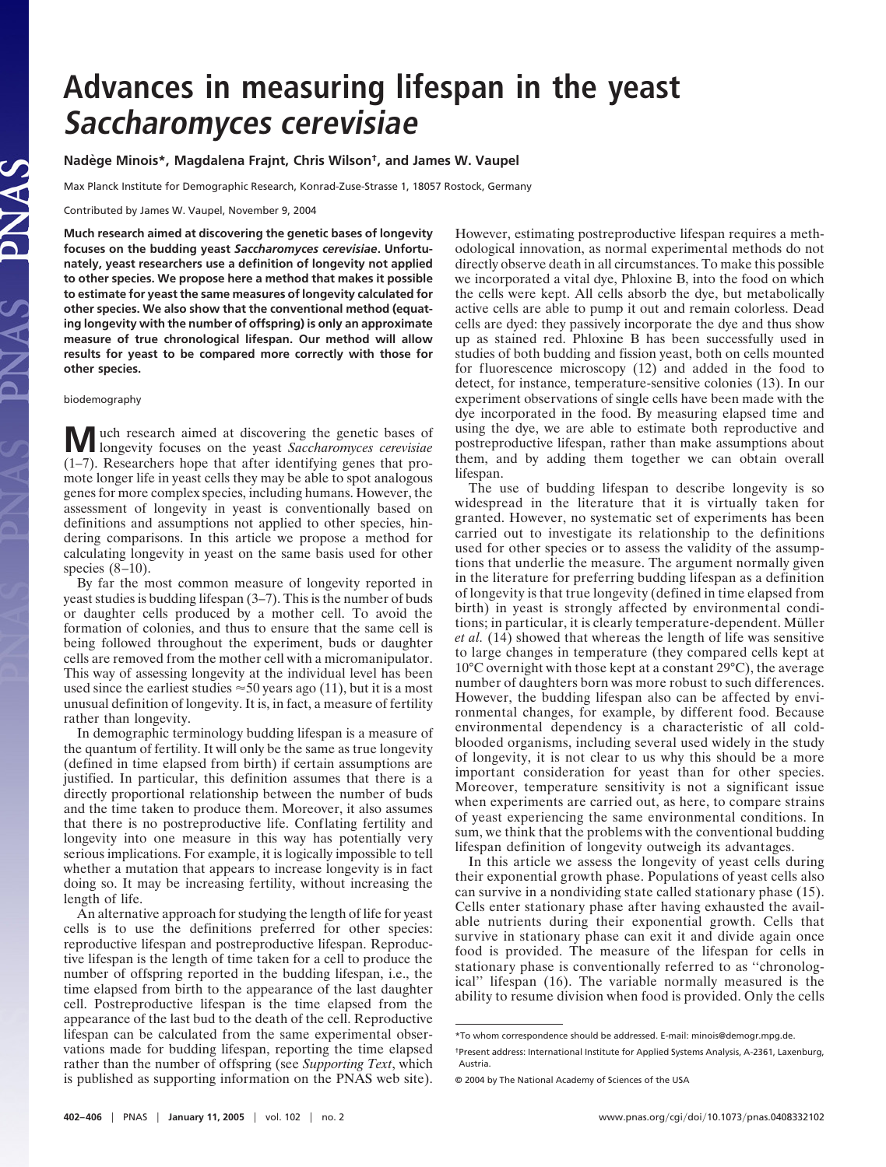# **Advances in measuring lifespan in the yeast Saccharomyces cerevisiae**

## **Nade`ge Minois\*, Magdalena Frajnt, Chris Wilson†, and James W. Vaupel**

Max Planck Institute for Demographic Research, Konrad-Zuse-Strasse 1, 18057 Rostock, Germany

Contributed by James W. Vaupel, November 9, 2004

**Much research aimed at discovering the genetic bases of longevity focuses on the budding yeast** *Saccharomyces cerevisiae***. Unfortunately, yeast researchers use a definition of longevity not applied to other species. We propose here a method that makes it possible to estimate for yeast the same measures of longevity calculated for other species. We also show that the conventional method (equating longevity with the number of offspring) is only an approximate measure of true chronological lifespan. Our method will allow results for yeast to be compared more correctly with those for other species.**

biodemography

**M**uch research aimed at discovering the genetic bases of longevity focuses on the yeast *Saccharomyces cerevisiae* (1–7). Researchers hope that after identifying genes that promote longer life in yeast cells they may be able to spot analogous genes for more complex species, including humans. However, the assessment of longevity in yeast is conventionally based on definitions and assumptions not applied to other species, hindering comparisons. In this article we propose a method for calculating longevity in yeast on the same basis used for other species (8–10).

By far the most common measure of longevity reported in yeast studies is budding lifespan (3–7). This is the number of buds or daughter cells produced by a mother cell. To avoid the formation of colonies, and thus to ensure that the same cell is being followed throughout the experiment, buds or daughter cells are removed from the mother cell with a micromanipulator. This way of assessing longevity at the individual level has been used since the earliest studies  $\approx 50$  years ago (11), but it is a most unusual definition of longevity. It is, in fact, a measure of fertility rather than longevity.

In demographic terminology budding lifespan is a measure of the quantum of fertility. It will only be the same as true longevity (defined in time elapsed from birth) if certain assumptions are justified. In particular, this definition assumes that there is a directly proportional relationship between the number of buds and the time taken to produce them. Moreover, it also assumes that there is no postreproductive life. Conflating fertility and longevity into one measure in this way has potentially very serious implications. For example, it is logically impossible to tell whether a mutation that appears to increase longevity is in fact doing so. It may be increasing fertility, without increasing the length of life.

An alternative approach for studying the length of life for yeast cells is to use the definitions preferred for other species: reproductive lifespan and postreproductive lifespan. Reproductive lifespan is the length of time taken for a cell to produce the number of offspring reported in the budding lifespan, i.e., the time elapsed from birth to the appearance of the last daughter cell. Postreproductive lifespan is the time elapsed from the appearance of the last bud to the death of the cell. Reproductive lifespan can be calculated from the same experimental observations made for budding lifespan, reporting the time elapsed rather than the number of offspring (see *Supporting Text*, which is published as supporting information on the PNAS web site).

However, estimating postreproductive lifespan requires a methodological innovation, as normal experimental methods do not directly observe death in all circumstances. To make this possible we incorporated a vital dye, Phloxine B, into the food on which the cells were kept. All cells absorb the dye, but metabolically active cells are able to pump it out and remain colorless. Dead cells are dyed: they passively incorporate the dye and thus show up as stained red. Phloxine B has been successfully used in studies of both budding and fission yeast, both on cells mounted for fluorescence microscopy (12) and added in the food to detect, for instance, temperature-sensitive colonies (13). In our experiment observations of single cells have been made with the dye incorporated in the food. By measuring elapsed time and using the dye, we are able to estimate both reproductive and postreproductive lifespan, rather than make assumptions about them, and by adding them together we can obtain overall lifespan.

The use of budding lifespan to describe longevity is so widespread in the literature that it is virtually taken for granted. However, no systematic set of experiments has been carried out to investigate its relationship to the definitions used for other species or to assess the validity of the assumptions that underlie the measure. The argument normally given in the literature for preferring budding lifespan as a definition of longevity is that true longevity (defined in time elapsed from birth) in yeast is strongly affected by environmental conditions; in particular, it is clearly temperature-dependent. Müller *et al.* (14) showed that whereas the length of life was sensitive to large changes in temperature (they compared cells kept at 10°C overnight with those kept at a constant 29°C), the average number of daughters born was more robust to such differences. However, the budding lifespan also can be affected by environmental changes, for example, by different food. Because environmental dependency is a characteristic of all coldblooded organisms, including several used widely in the study of longevity, it is not clear to us why this should be a more important consideration for yeast than for other species. Moreover, temperature sensitivity is not a significant issue when experiments are carried out, as here, to compare strains of yeast experiencing the same environmental conditions. In sum, we think that the problems with the conventional budding lifespan definition of longevity outweigh its advantages.

In this article we assess the longevity of yeast cells during their exponential growth phase. Populations of yeast cells also can survive in a nondividing state called stationary phase (15). Cells enter stationary phase after having exhausted the available nutrients during their exponential growth. Cells that survive in stationary phase can exit it and divide again once food is provided. The measure of the lifespan for cells in stationary phase is conventionally referred to as ''chronological'' lifespan (16). The variable normally measured is the ability to resume division when food is provided. Only the cells

<sup>\*</sup>To whom correspondence should be addressed. E-mail: minois@demogr.mpg.de.

<sup>†</sup>Present address: International Institute for Applied Systems Analysis, A-2361, Laxenburg, Austria.

<sup>© 2004</sup> by The National Academy of Sciences of the USA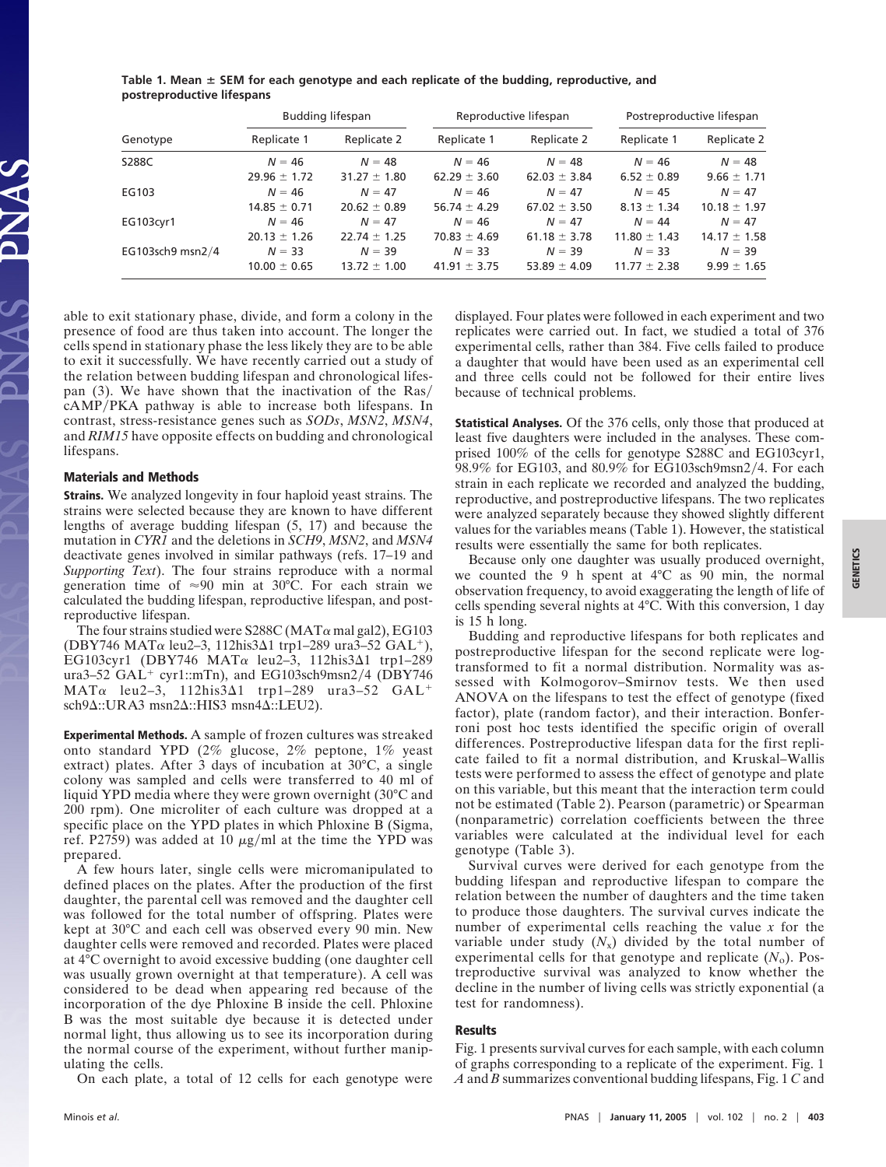| Table 1. Mean $\pm$ SEM for each genotype and each replicate of the budding, reproductive, and |
|------------------------------------------------------------------------------------------------|
| postreproductive lifespans                                                                     |

|                  | Budding lifespan |                  | Reproductive lifespan |                  | Postreproductive lifespan |                  |
|------------------|------------------|------------------|-----------------------|------------------|---------------------------|------------------|
| Genotype         | Replicate 1      | Replicate 2      | Replicate 1           | Replicate 2      | Replicate 1               | Replicate 2      |
| <b>S288C</b>     | $N = 46$         | $N = 48$         | $N = 46$              | $N = 48$         | $N = 46$                  | $N = 48$         |
|                  | $29.96 \pm 1.72$ | $31.27 \pm 1.80$ | $62.29 \pm 3.60$      | $62.03 \pm 3.84$ | $6.52 \pm 0.89$           | $9.66 \pm 1.71$  |
| EG103            | $N = 46$         | $N = 47$         | $N = 46$              | $N = 47$         | $N = 45$                  | $N = 47$         |
|                  | $14.85 \pm 0.71$ | $20.62 \pm 0.89$ | $56.74 \pm 4.29$      | $67.02 \pm 3.50$ | $8.13 \pm 1.34$           | $10.18 \pm 1.97$ |
| EG103cyr1        | $N = 46$         | $N = 47$         | $N = 46$              | $N = 47$         | $N = 44$                  | $N = 47$         |
|                  | $20.13 \pm 1.26$ | $22.74 \pm 1.25$ | $70.83 \pm 4.69$      | $61.18 \pm 3.78$ | $11.80 \pm 1.43$          | $14.17 \pm 1.58$ |
| EG103sch9 msn2/4 | $N = 33$         | $N = 39$         | $N = 33$              | $N = 39$         | $N = 33$                  | $N = 39$         |
|                  | $10.00 \pm 0.65$ | $13.72 \pm 1.00$ | $41.91 \pm 3.75$      | 53.89 $\pm$ 4.09 | $11.77 \pm 2.38$          | $9.99 \pm 1.65$  |

able to exit stationary phase, divide, and form a colony in the presence of food are thus taken into account. The longer the cells spend in stationary phase the less likely they are to be able to exit it successfully. We have recently carried out a study of the relation between budding lifespan and chronological lifespan  $(3)$ . We have shown that the inactivation of the Ras/ cAMP/PKA pathway is able to increase both lifespans. In contrast, stress-resistance genes such as *SODs*, *MSN2*, *MSN4*, and *RIM15* have opposite effects on budding and chronological lifespans.

#### **Materials and Methods**

**Strains.** We analyzed longevity in four haploid yeast strains. The strains were selected because they are known to have different lengths of average budding lifespan (5, 17) and because the mutation in *CYR1* and the deletions in *SCH9*, *MSN2*, and *MSN4* deactivate genes involved in similar pathways (refs. 17–19 and *Supporting Text*). The four strains reproduce with a normal generation time of  $\approx 90$  min at 30°C. For each strain we calculated the budding lifespan, reproductive lifespan, and postreproductive lifespan.

The four strains studied were  $S288C$  (MAT $\alpha$  mal gal2), EG103 (DBY746 MAT $\alpha$  leu2–3, 112his3 $\Delta$ 1 trp1–289 ura3–52 GAL<sup>+</sup>), EG103cyr1 (DBY746 MAT $\alpha$  leu2–3, 112his3 $\Delta$ 1 trp1–289  $ura3-52$   $GAL+ cyr1::mTn$ , and  $EG103sch9msn2/4$  (DBY746  $\text{MAT}\alpha$  leu2-3, 112his3 $\Delta$ 1 trp1-289 ura3-52 GAL<sup>+</sup> sch9∆::URA3 msn2∆::HIS3 msn4∆::LEU2).

**Experimental Methods.** A sample of frozen cultures was streaked onto standard YPD (2% glucose, 2% peptone, 1% yeast extract) plates. After 3 days of incubation at 30°C, a single colony was sampled and cells were transferred to 40 ml of liquid YPD media where they were grown overnight (30°C and 200 rpm). One microliter of each culture was dropped at a specific place on the YPD plates in which Phloxine B (Sigma, ref. P2759) was added at 10  $\mu$ g/ml at the time the YPD was prepared.

A few hours later, single cells were micromanipulated to defined places on the plates. After the production of the first daughter, the parental cell was removed and the daughter cell was followed for the total number of offspring. Plates were kept at 30°C and each cell was observed every 90 min. New daughter cells were removed and recorded. Plates were placed at 4°C overnight to avoid excessive budding (one daughter cell was usually grown overnight at that temperature). A cell was considered to be dead when appearing red because of the incorporation of the dye Phloxine B inside the cell. Phloxine B was the most suitable dye because it is detected under normal light, thus allowing us to see its incorporation during the normal course of the experiment, without further manipulating the cells.

On each plate, a total of 12 cells for each genotype were

displayed. Four plates were followed in each experiment and two replicates were carried out. In fact, we studied a total of 376 experimental cells, rather than 384. Five cells failed to produce a daughter that would have been used as an experimental cell and three cells could not be followed for their entire lives because of technical problems.

**Statistical Analyses.** Of the 376 cells, only those that produced at least five daughters were included in the analyses. These comprised 100% of the cells for genotype S288C and EG103cyr1, 98.9% for EG103, and 80.9% for EG103sch9msn2/4. For each strain in each replicate we recorded and analyzed the budding, reproductive, and postreproductive lifespans. The two replicates were analyzed separately because they showed slightly different values for the variables means (Table 1). However, the statistical results were essentially the same for both replicates.

Because only one daughter was usually produced overnight, we counted the 9 h spent at 4°C as 90 min, the normal observation frequency, to avoid exaggerating the length of life of cells spending several nights at 4°C. With this conversion, 1 day is 15 h long.

Budding and reproductive lifespans for both replicates and postreproductive lifespan for the second replicate were logtransformed to fit a normal distribution. Normality was assessed with Kolmogorov–Smirnov tests. We then used ANOVA on the lifespans to test the effect of genotype (fixed factor), plate (random factor), and their interaction. Bonferroni post hoc tests identified the specific origin of overall differences. Postreproductive lifespan data for the first replicate failed to fit a normal distribution, and Kruskal–Wallis tests were performed to assess the effect of genotype and plate on this variable, but this meant that the interaction term could not be estimated (Table 2). Pearson (parametric) or Spearman (nonparametric) correlation coefficients between the three variables were calculated at the individual level for each genotype (Table 3).

Survival curves were derived for each genotype from the budding lifespan and reproductive lifespan to compare the relation between the number of daughters and the time taken to produce those daughters. The survival curves indicate the number of experimental cells reaching the value *x* for the variable under study  $(N_x)$  divided by the total number of experimental cells for that genotype and replicate  $(N_0)$ . Postreproductive survival was analyzed to know whether the decline in the number of living cells was strictly exponential (a test for randomness).

### **Results**

Fig. 1 presents survival curves for each sample, with each column of graphs corresponding to a replicate of the experiment. Fig. 1 *A* and *B* summarizes conventional budding lifespans, Fig. 1 *C* and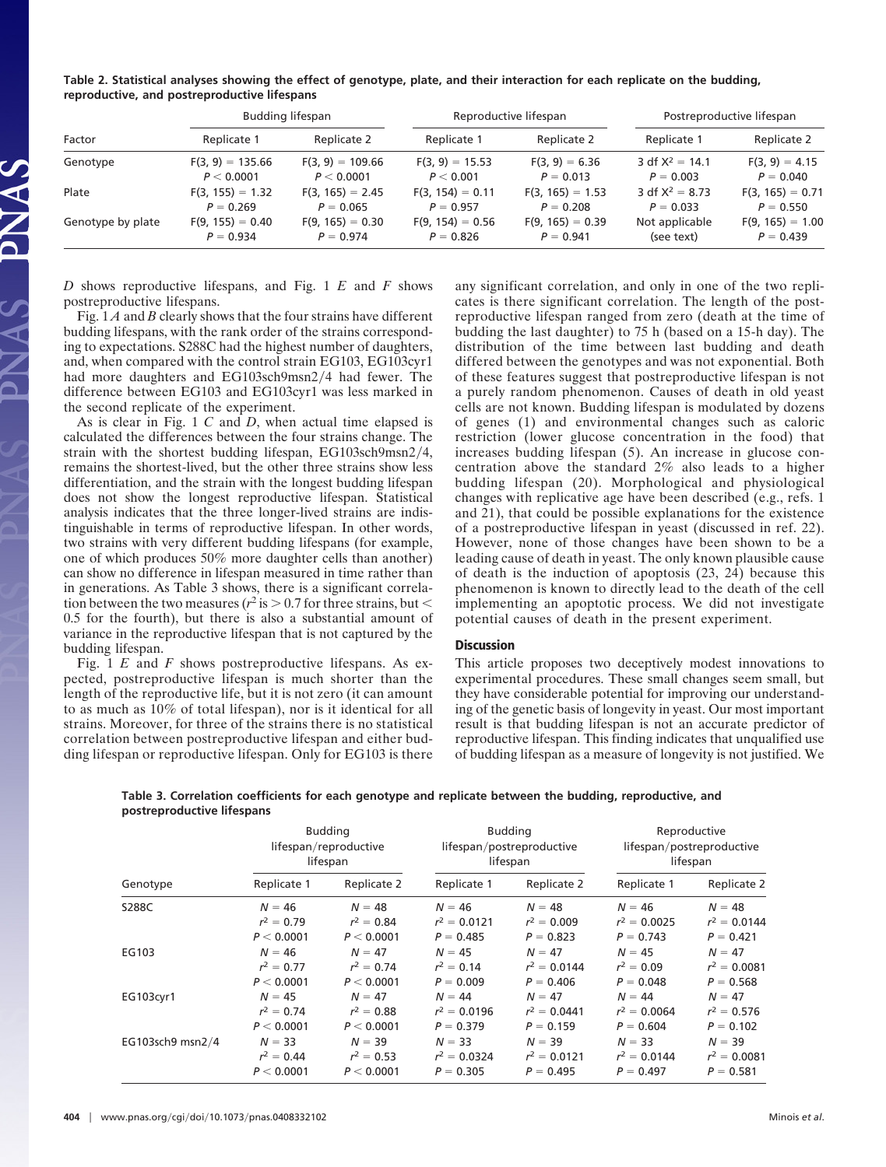|                                              | Table 2. Statistical analyses showing the effect of genotype, plate, and their interaction for each replicate on the budding, |
|----------------------------------------------|-------------------------------------------------------------------------------------------------------------------------------|
| reproductive, and postreproductive lifespans |                                                                                                                               |

| Factor            | Budding lifespan   |                    | Reproductive lifespan |                    | Postreproductive lifespan |                    |
|-------------------|--------------------|--------------------|-----------------------|--------------------|---------------------------|--------------------|
|                   | Replicate 1        | Replicate 2        | Replicate 1           | Replicate 2        | Replicate 1               | Replicate 2        |
| Genotype          | $F(3, 9) = 135.66$ | $F(3, 9) = 109.66$ | $F(3, 9) = 15.53$     | $F(3, 9) = 6.36$   | 3 df $X^2 = 14.1$         | $F(3, 9) = 4.15$   |
|                   | P < 0.0001         | P < 0.0001         | P < 0.001             | $P = 0.013$        | $P = 0.003$               | $P = 0.040$        |
| Plate             | $F(3, 155) = 1.32$ | $F(3, 165) = 2.45$ | $F(3, 154) = 0.11$    | $F(3, 165) = 1.53$ | 3 df $X^2 = 8.73$         | $F(3, 165) = 0.71$ |
|                   | $P = 0.269$        | $P = 0.065$        | $P = 0.957$           | $P = 0.208$        | $P = 0.033$               | $P = 0.550$        |
| Genotype by plate | $F(9, 155) = 0.40$ | $F(9, 165) = 0.30$ | $F(9, 154) = 0.56$    | $F(9, 165) = 0.39$ | Not applicable            | $F(9, 165) = 1.00$ |
|                   | $P = 0.934$        | $P = 0.974$        | $P = 0.826$           | $P = 0.941$        | (see text)                | $P = 0.439$        |

*D* shows reproductive lifespans, and Fig. 1 *E* and *F* shows postreproductive lifespans.

Fig. 1 *A* and *B* clearly shows that the four strains have different budding lifespans, with the rank order of the strains corresponding to expectations. S288C had the highest number of daughters, and, when compared with the control strain EG103, EG103cyr1 had more daughters and EG103sch9msn2/4 had fewer. The difference between EG103 and EG103cyr1 was less marked in the second replicate of the experiment.

As is clear in Fig. 1 *C* and *D*, when actual time elapsed is calculated the differences between the four strains change. The strain with the shortest budding lifespan, EG103sch9msn2/4, remains the shortest-lived, but the other three strains show less differentiation, and the strain with the longest budding lifespan does not show the longest reproductive lifespan. Statistical analysis indicates that the three longer-lived strains are indistinguishable in terms of reproductive lifespan. In other words, two strains with very different budding lifespans (for example, one of which produces 50% more daughter cells than another) can show no difference in lifespan measured in time rather than in generations. As Table 3 shows, there is a significant correlation between the two measures ( $r^2$  is  $> 0.7$  for three strains, but  $<$ 0.5 for the fourth), but there is also a substantial amount of variance in the reproductive lifespan that is not captured by the budding lifespan.

Fig. 1 *E* and *F* shows postreproductive lifespans. As expected, postreproductive lifespan is much shorter than the length of the reproductive life, but it is not zero (it can amount to as much as 10% of total lifespan), nor is it identical for all strains. Moreover, for three of the strains there is no statistical correlation between postreproductive lifespan and either budding lifespan or reproductive lifespan. Only for EG103 is there

any significant correlation, and only in one of the two replicates is there significant correlation. The length of the postreproductive lifespan ranged from zero (death at the time of budding the last daughter) to 75 h (based on a 15-h day). The distribution of the time between last budding and death differed between the genotypes and was not exponential. Both of these features suggest that postreproductive lifespan is not a purely random phenomenon. Causes of death in old yeast cells are not known. Budding lifespan is modulated by dozens of genes (1) and environmental changes such as caloric restriction (lower glucose concentration in the food) that increases budding lifespan (5). An increase in glucose concentration above the standard 2% also leads to a higher budding lifespan (20). Morphological and physiological changes with replicative age have been described (e.g., refs. 1 and 21), that could be possible explanations for the existence of a postreproductive lifespan in yeast (discussed in ref. 22). However, none of those changes have been shown to be a leading cause of death in yeast. The only known plausible cause of death is the induction of apoptosis (23, 24) because this phenomenon is known to directly lead to the death of the cell implementing an apoptotic process. We did not investigate potential causes of death in the present experiment.

#### **Discussion**

This article proposes two deceptively modest innovations to experimental procedures. These small changes seem small, but they have considerable potential for improving our understanding of the genetic basis of longevity in yeast. Our most important result is that budding lifespan is not an accurate predictor of reproductive lifespan. This finding indicates that unqualified use of budding lifespan as a measure of longevity is not justified. We

| Genotype         | <b>Budding</b><br>lifespan/reproductive<br>lifespan |              | <b>Budding</b><br>lifespan/postreproductive<br>lifespan |                | Reproductive<br>lifespan/postreproductive<br>lifespan |                |
|------------------|-----------------------------------------------------|--------------|---------------------------------------------------------|----------------|-------------------------------------------------------|----------------|
|                  | Replicate 1                                         | Replicate 2  | Replicate 1                                             | Replicate 2    | Replicate 1                                           | Replicate 2    |
| S288C            | $N = 46$                                            | $N = 48$     | $N = 46$                                                | $N = 48$       | $N = 46$                                              | $N = 48$       |
|                  | $r^2 = 0.79$                                        | $r^2 = 0.84$ | $r^2 = 0.0121$                                          | $r^2 = 0.009$  | $r^2 = 0.0025$                                        | $r^2 = 0.0144$ |
|                  | P < 0.0001                                          | P < 0.0001   | $P = 0.485$                                             | $P = 0.823$    | $P = 0.743$                                           | $P = 0.421$    |
| EG103            | $N = 46$                                            | $N = 47$     | $N = 45$                                                | $N = 47$       | $N = 45$                                              | $N = 47$       |
|                  | $r^2 = 0.77$                                        | $r^2 = 0.74$ | $r^2 = 0.14$                                            | $r^2 = 0.0144$ | $r^2 = 0.09$                                          | $r^2 = 0.0081$ |
|                  | P < 0.0001                                          | P < 0.0001   | $P = 0.009$                                             | $P = 0.406$    | $P = 0.048$                                           | $P = 0.568$    |
| EG103cyr1        | $N = 45$                                            | $N = 47$     | $N = 44$                                                | $N = 47$       | $N = 44$                                              | $N = 47$       |
|                  | $r^2 = 0.74$                                        | $r^2 = 0.88$ | $r^2 = 0.0196$                                          | $r^2 = 0.0441$ | $r^2 = 0.0064$                                        | $r^2 = 0.576$  |
|                  | P < 0.0001                                          | P < 0.0001   | $P = 0.379$                                             | $P = 0.159$    | $P = 0.604$                                           | $P = 0.102$    |
| EG103sch9 msn2/4 | $N = 33$                                            | $N = 39$     | $N = 33$                                                | $N = 39$       | $N = 33$                                              | $N = 39$       |
|                  | $r^2 = 0.44$                                        | $r^2 = 0.53$ | $r^2 = 0.0324$                                          | $r^2 = 0.0121$ | $r^2 = 0.0144$                                        | $r^2 = 0.0081$ |
|                  | P < 0.0001                                          | P < 0.0001   | $P = 0.305$                                             | $P = 0.495$    | $P = 0.497$                                           | $P = 0.581$    |

**Table 3. Correlation coefficients for each genotype and replicate between the budding, reproductive, and postreproductive lifespans**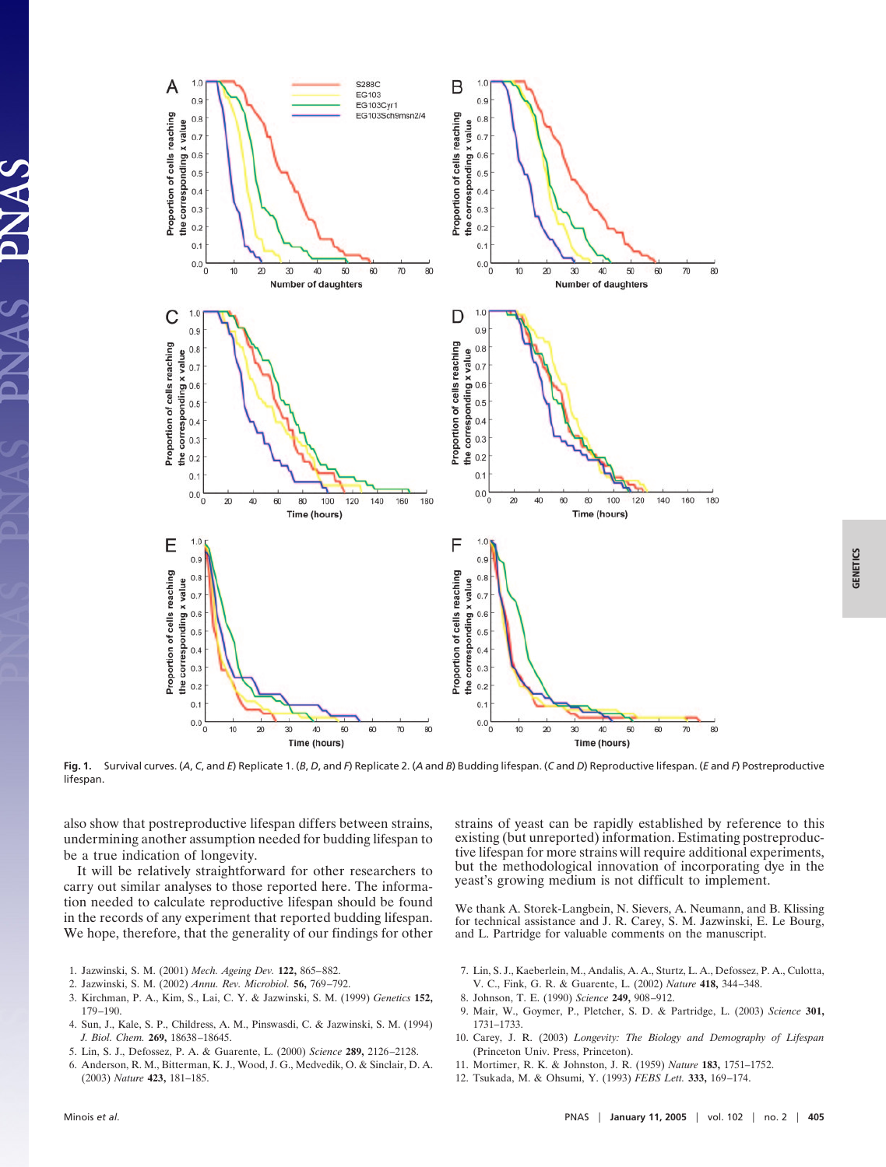

Fig. 1. Survival curves. (A, C, and E) Replicate 1. (B, D, and F) Replicate 2. (A and B) Budding lifespan. (C and D) Reproductive lifespan. (E and F) Postreproductive lifespan.

also show that postreproductive lifespan differs between strains, undermining another assumption needed for budding lifespan to be a true indication of longevity.

It will be relatively straightforward for other researchers to carry out similar analyses to those reported here. The information needed to calculate reproductive lifespan should be found in the records of any experiment that reported budding lifespan. We hope, therefore, that the generality of our findings for other

- 1. Jazwinski, S. M. (2001) *Mech. Ageing Dev.* **122,** 865–882.
- 2. Jazwinski, S. M. (2002) *Annu. Rev. Microbiol.* **56,** 769–792.
- 3. Kirchman, P. A., Kim, S., Lai, C. Y. & Jazwinski, S. M. (1999) *Genetics* **152,** 179–190.
- 4. Sun, J., Kale, S. P., Childress, A. M., Pinswasdi, C. & Jazwinski, S. M. (1994) *J. Biol. Chem.* **269,** 18638–18645.
- 5. Lin, S. J., Defossez, P. A. & Guarente, L. (2000) *Science* **289,** 2126–2128.
- 6. Anderson, R. M., Bitterman, K. J., Wood, J. G., Medvedik, O. & Sinclair, D. A. (2003) *Nature* **423,** 181–185.

strains of yeast can be rapidly established by reference to this existing (but unreported) information. Estimating postreproductive lifespan for more strains will require additional experiments, but the methodological innovation of incorporating dye in the yeast's growing medium is not difficult to implement.

We thank A. Storek-Langbein, N. Sievers, A. Neumann, and B. Klissing for technical assistance and J. R. Carey, S. M. Jazwinski, E. Le Bourg, and L. Partridge for valuable comments on the manuscript.

- 7. Lin, S. J., Kaeberlein, M., Andalis, A. A., Sturtz, L. A., Defossez, P. A., Culotta, V. C., Fink, G. R. & Guarente, L. (2002) *Nature* **418,** 344–348.
- 8. Johnson, T. E. (1990) *Science* **249,** 908–912.
- 9. Mair, W., Goymer, P., Pletcher, S. D. & Partridge, L. (2003) *Science* **301,** 1731–1733.
- 10. Carey, J. R. (2003) *Longevity: The Biology and Demography of Lifespan* (Princeton Univ. Press, Princeton).
- 11. Mortimer, R. K. & Johnston, J. R. (1959) *Nature* **183,** 1751–1752.
- 12. Tsukada, M. & Ohsumi, Y. (1993) *FEBS Lett.* **333,** 169–174.

PNAS

**S<br>A<br>Z**